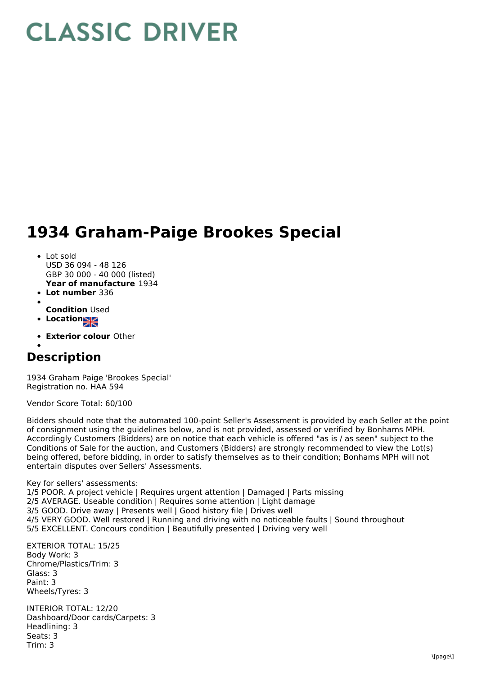## **CLASSIC DRIVER**

## **1934 Graham-Paige Brookes Special**

- **Year of manufacture** 1934 **Lot number** 336 • Lot sold USD 36 094 - 48 126 GBP 30 000 - 40 000 (listed)
- 
- **Condition** Used
- **Location**
- 
- **Exterior colour** Other

## **Description**

1934 Graham Paige 'Brookes Special' Registration no. HAA 594

Vendor Score Total: 60/100

Bidders should note that the automated 100-point Seller's Assessment is provided by each Seller at the point of consignment using the guidelines below, and is not provided, assessed or verified by Bonhams MPH. Accordingly Customers (Bidders) are on notice that each vehicle is offered "as is / as seen" subject to the Conditions of Sale for the auction, and Customers (Bidders) are strongly recommended to view the Lot(s) being offered, before bidding, in order to satisfy themselves as to their condition; Bonhams MPH will not entertain disputes over Sellers' Assessments.

Key for sellers' assessments:

1/5 POOR. A project vehicle | Requires urgent attention | Damaged | Parts missing 2/5 AVERAGE. Useable condition | Requires some attention | Light damage 3/5 GOOD. Drive away | Presents well | Good history file | Drives well 4/5 VERY GOOD. Well restored | Running and driving with no noticeable faults | Sound throughout 5/5 EXCELLENT. Concours condition | Beautifully presented | Driving very well

EXTERIOR TOTAL: 15/25 Body Work: 3 Chrome/Plastics/Trim: 3 Glass: 3 Paint: 3 Wheels/Tyres: 3

INTERIOR TOTAL: 12/20 Dashboard/Door cards/Carpets: 3 Headlining: 3 Seats: 3 Trim: 3